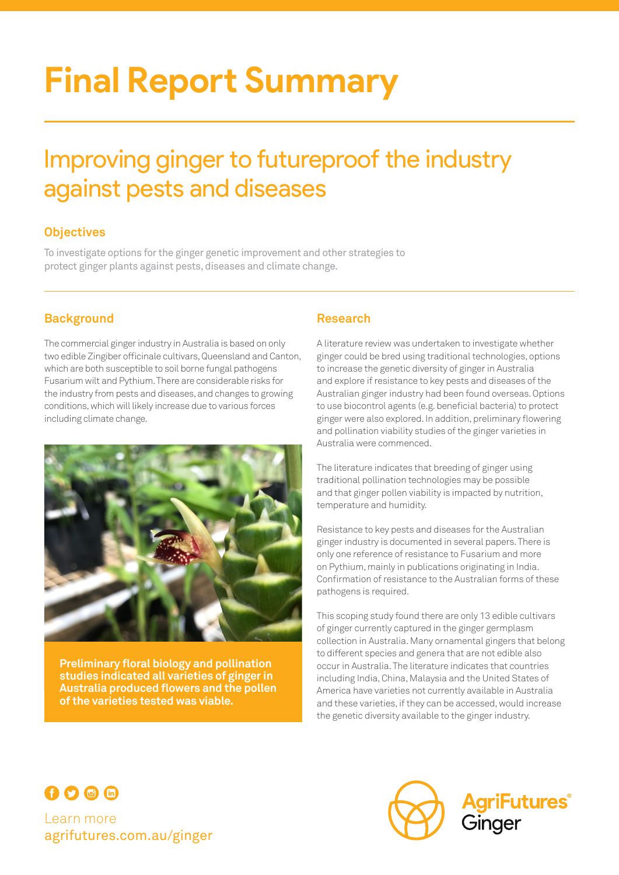# **Final Report Summary**

# Improving ginger to futureproof the industry against pests and diseases

# **Objectives**

To investigate options for the ginger genetic improvement and other strategies to protect ginger plants against pests, diseases and climate change.

# **Background**

The commercial ginger industry in Australia is based on only two edible Zingiber officinale cultivars, Queensland and Canton, which are both susceptible to soil borne fungal pathogens Fusarium wilt and Pythium. There are considerable risks for the industry from pests and diseases, and changes to growing conditions, which will likely increase due to various forces including climate change.



**Preliminary floral biology and pollination studies indicated all varieties of ginger in Australia produced flowers and the pollen of the varieties tested was viable.**

### **Research**

A literature review was undertaken to investigate whether ginger could be bred using traditional technologies, options to increase the genetic diversity of ginger in Australia and explore if resistance to key pests and diseases of the Australian ginger industry had been found overseas. Options to use biocontrol agents (e.g. beneficial bacteria) to protect ginger were also explored. In addition, preliminary flowering and pollination viability studies of the ginger varieties in Australia were commenced.

The literature indicates that breeding of ginger using traditional pollination technologies may be possible and that ginger pollen viability is impacted by nutrition, temperature and humidity.

Resistance to key pests and diseases for the Australian ginger industry is documented in several papers. There is only one reference of resistance to Fusarium and more on Pythium, mainly in publications originating in India. Confirmation of resistance to the Australian forms of these pathogens is required.

This scoping study found there are only 13 edible cultivars of ginger currently captured in the ginger germplasm collection in Australia. Many ornamental gingers that belong to different species and genera that are not edible also occur in Australia. The literature indicates that countries including India, China, Malaysia and the United States of America have varieties not currently available in Australia and these varieties, if they can be accessed, would increase the genetic diversity available to the ginger industry.



Learn more agrifutures.com.au/ginger